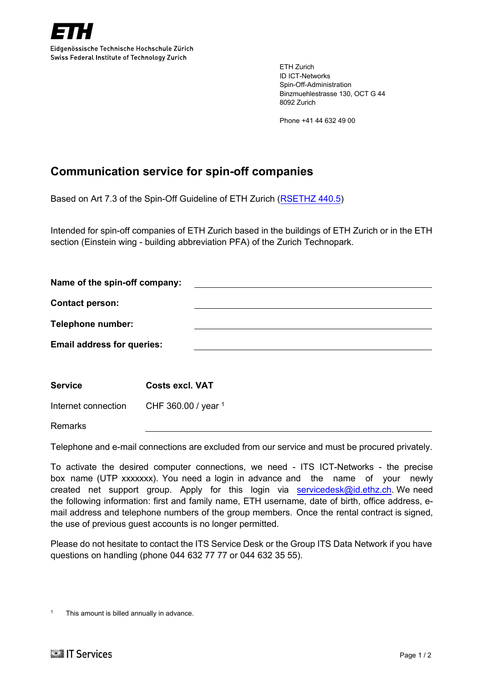

Eidgenössische Technische Hochschule Zürich Swiss Federal Institute of Technology Zurich

> ETH Zurich ID ICT-Networks Spin-Off-Administration Binzmuehlestrasse 130, OCT G 44 8092 Zurich

Phone +41 44 632 49 00

## **Communication service for spin-off companies**

Based on Art 7.3 of the Spin-Off Guideline of ETH Zurich (RSETHZ 440.5)

Intended for spin-off companies of ETH Zurich based in the buildings of ETH Zurich or in the ETH section (Einstein wing - building abbreviation PFA) of the Zurich Technopark.

| Name of the spin-off company:     |                        |  |  |
|-----------------------------------|------------------------|--|--|
| <b>Contact person:</b>            |                        |  |  |
| Telephone number:                 |                        |  |  |
| <b>Email address for queries:</b> |                        |  |  |
|                                   |                        |  |  |
| <b>Service</b>                    | <b>Costs excl. VAT</b> |  |  |
| Internet connection               | CHF 360.00 / year 1    |  |  |
| <b>Remarks</b>                    |                        |  |  |

Telephone and e-mail connections are excluded from our service and must be procured privately.

To activate the desired computer connections, we need - ITS ICT-Networks - the precise box name (UTP xxxxxxx). You need a login in advance and the name of your newly created net support group. Apply for this login via servicedes  $k$ @id.ethz.ch. We need the following information: first and family name, ETH username, date of birth, office address, email address and telephone numbers of the group members. Once the rental contract is signed, the use of previous guest accounts is no longer permitted.

Please do not hesitate to contact the ITS Service Desk or the Group ITS Data Network if you have questions on handling (phone 044 632 77 77 or 044 632 35 55).

This amount is billed annually in advance.